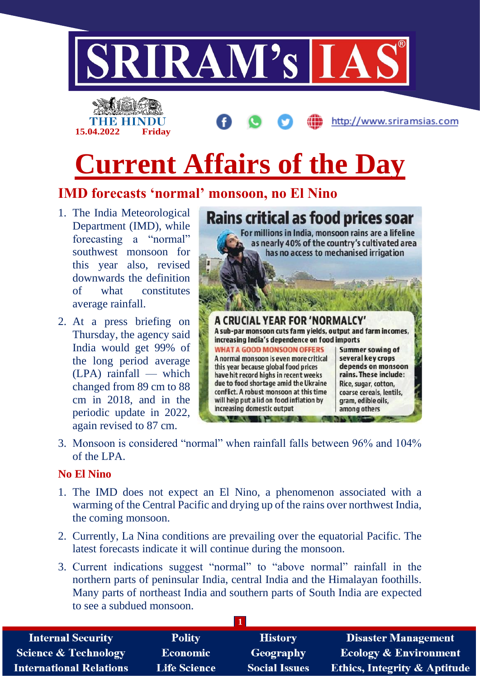

## **Current Affairs of the Day**

## **IMD forecasts 'normal' monsoon, no El Nino**

1. The India Meteorological Department (IMD), while forecasting a "normal" southwest monsoon for this year also, revised downwards the definition of what constitutes average rainfall.

**15.04.2022 Friday**

2. At a press briefing on Thursday, the agency said India would get 99% of the long period average (LPA) rainfall — which changed from 89 cm to 88 cm in 2018, and in the periodic update in 2022, again revised to 87 cm.



3. Monsoon is considered "normal" when rainfall falls between 96% and 104% of the LPA.

#### **No El Nino**

- 1. The IMD does not expect an El Nino, a phenomenon associated with a warming of the Central Pacific and drying up of the rains over northwest India, the coming monsoon.
- 2. Currently, La Nina conditions are prevailing over the equatorial Pacific. The latest forecasts indicate it will continue during the monsoon.
- 3. Current indications suggest "normal" to "above normal" rainfall in the northern parts of peninsular India, central India and the Himalayan foothills. Many parts of northeast India and southern parts of South India are expected to see a subdued monsoon.

| <b>Internal Security</b>        | <b>Polity</b>       | <b>History</b>       | <b>Disaster Management</b>              |
|---------------------------------|---------------------|----------------------|-----------------------------------------|
| <b>Science &amp; Technology</b> | <b>Economic</b>     | Geography            | <b>Ecology &amp; Environment</b>        |
| <b>International Relations</b>  | <b>Life Science</b> | <b>Social Issues</b> | <b>Ethics, Integrity &amp; Aptitude</b> |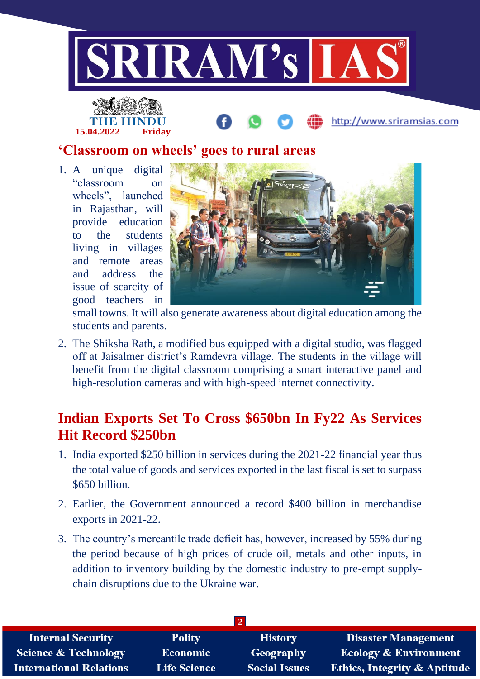

# **15.04.2022 Friday**

#### **'Classroom on wheels' goes to rural areas**

1. A unique digital "classroom on wheels", launched in Rajasthan, will provide education to the students living in villages and remote areas and address the issue of scarcity of good teachers in



http://www.sriramsias.com

small towns. It will also generate awareness about digital education among the students and parents.

2. The Shiksha Rath, a modified bus equipped with a digital studio, was flagged off at Jaisalmer district's Ramdevra village. The students in the village will benefit from the digital classroom comprising a smart interactive panel and high-resolution cameras and with high-speed internet connectivity.

## **Indian Exports Set To Cross \$650bn In Fy22 As Services Hit Record \$250bn**

- 1. India exported \$250 billion in services during the 2021-22 financial year thus the total value of goods and services exported in the last fiscal is set to surpass \$650 billion.
- 2. Earlier, the Government announced a record \$400 billion in merchandise exports in 2021-22.
- 3. The country's mercantile trade deficit has, however, increased by 55% during the period because of high prices of crude oil, metals and other inputs, in addition to inventory building by the domestic industry to pre-empt supplychain disruptions due to the Ukraine war.

| <b>Internal Security</b>        | <b>Polity</b>       | <b>History</b>       | <b>Disaster Management</b>              |
|---------------------------------|---------------------|----------------------|-----------------------------------------|
| <b>Science &amp; Technology</b> | Economic            | Geography            | <b>Ecology &amp; Environment</b>        |
| <b>International Relations</b>  | <b>Life Science</b> | <b>Social Issues</b> | <b>Ethics, Integrity &amp; Aptitude</b> |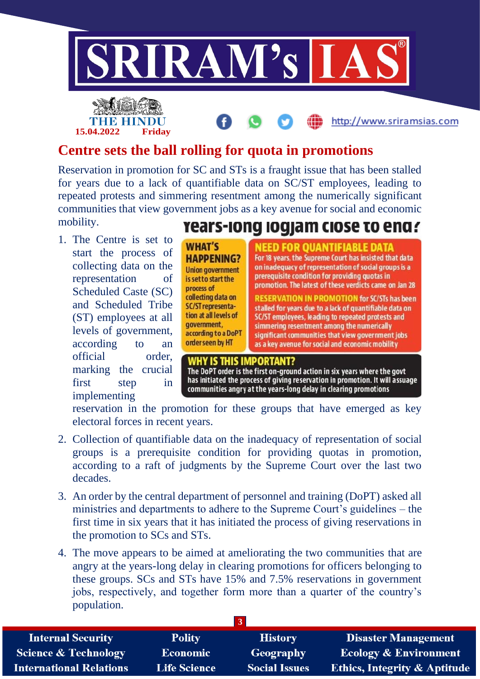

### **Centre sets the ball rolling for quota in promotions**

Reservation in promotion for SC and STs is a fraught issue that has been stalled for years due to a lack of quantifiable data on SC/ST employees, leading to repeated protests and simmering resentment among the numerically significant communities that view government jobs as a key avenue for social and economic mobility.

1. The Centre is set to start the process of collecting data on the representation of Scheduled Caste (SC) and Scheduled Tribe (ST) employees at all levels of government, according to an official order, marking the crucial first step in implementing

**15.04.2022 Friday**

## rears-long logjam close to end?

**WHAT'S HAPPENING? Union government** is set to start the process of collecting data on SC/ST representation at all levels of government. according to a DoPT order seen by HT

#### NEED FOR OUANTIFIABLE DATA For 18 years, the Supreme Court has insisted that data on inadequacy of representation of social groups is a prerequisite condition for providing quotas in promotion. The latest of these verdicts came on Jan 28

**RESERVATION IN PROMOTION for SC/STs has been** stalled for years due to a lack of quantifiable data on SC/ST employees, leading to repeated protests and simmering resentment among the numerically significant communities that view government jobs as a key avenue for social and economic mobility

#### **WHY IS THIS IMPORTANT?**

The DoPT order is the first on-ground action in six years where the govt has initiated the process of giving reservation in promotion. It will assuage communities angry at the years-long delay in clearing promotions

reservation in the promotion for these groups that have emerged as key electoral forces in recent years.

- 2. Collection of quantifiable data on the inadequacy of representation of social groups is a prerequisite condition for providing quotas in promotion, according to a raft of judgments by the Supreme Court over the last two decades.
- 3. An order by the central department of personnel and training (DoPT) asked all ministries and departments to adhere to the Supreme Court's guidelines – the first time in six years that it has initiated the process of giving reservations in the promotion to SCs and STs.
- 4. The move appears to be aimed at ameliorating the two communities that are angry at the years-long delay in clearing promotions for officers belonging to these groups. SCs and STs have 15% and 7.5% reservations in government jobs, respectively, and together form more than a quarter of the country's population.

| <b>Internal Security</b>        | <b>Polity</b>       | <b>History</b>       | <b>Disaster Management</b>              |  |
|---------------------------------|---------------------|----------------------|-----------------------------------------|--|
| <b>Science &amp; Technology</b> | Economic            | Geography            | <b>Ecology &amp; Environment</b>        |  |
| <b>International Relations</b>  | <b>Life Science</b> | <b>Social Issues</b> | <b>Ethics, Integrity &amp; Aptitude</b> |  |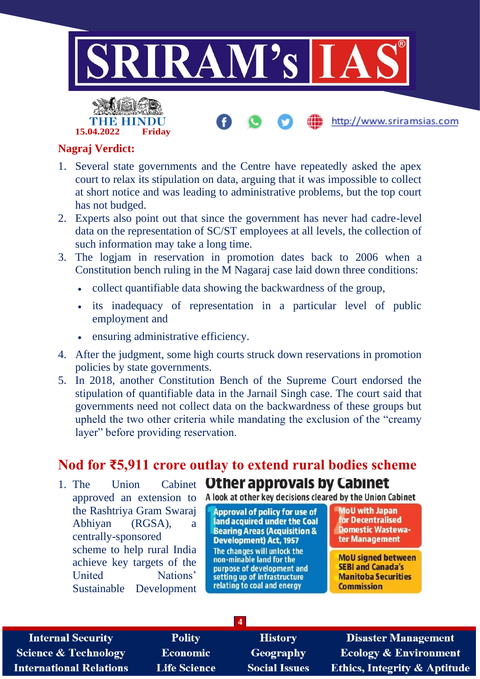



#### **Nagraj Verdict:**

- 1. Several state governments and the Centre have repeatedly asked the apex court to relax its stipulation on data, arguing that it was impossible to collect at short notice and was leading to administrative problems, but the top court has not budged.
- 2. Experts also point out that since the government has never had cadre-level data on the representation of SC/ST employees at all levels, the collection of such information may take a long time.
- 3. The logjam in reservation in promotion dates back to 2006 when a Constitution bench ruling in the M Nagaraj case laid down three conditions:
	- collect quantifiable data showing the backwardness of the group,
	- its inadequacy of representation in a particular level of public employment and
	- ensuring administrative efficiency.
- 4. After the judgment, some high courts struck down reservations in promotion policies by state governments.
- 5. In 2018, another Constitution Bench of the Supreme Court endorsed the stipulation of quantifiable data in the Jarnail Singh case. The court said that governments need not collect data on the backwardness of these groups but upheld the two other criteria while mandating the exclusion of the "creamy layer" before providing reservation.

#### **Nod for ₹5,911 crore outlay to extend rural bodies scheme**

**4**

1. The Union Cabinet **Other approvals by Cabinet** the Rashtriya Gram Swaraj Abhiyan (RGSA), a centrally-sponsored scheme to help rural India achieve key targets of the United Nations' Sustainable Development

approved an extension to A look at other key decisions cleared by the Union Cabinet

**Approval of policy for use of** land acquired under the Coal **Bearing Areas (Acquisition & Development**) Act, 1957 The changes will unlock the non-minable land for the purpose of development and setting up of infrastructure relating to coal and energy

**MoU with Japan** for Decentralised **Domestic Wastewa**ter Management

http://www.sriramsias.com

**MoU signed between SEBI and Canada's Manitoba Securities Commission** 

| <b>Internal Security</b>        |
|---------------------------------|
| <b>Science &amp; Technology</b> |
| <b>International Relations</b>  |

**Polity Economic Life Science** 

**History** Geography **Social Issues** 

**Disaster Management Ecology & Environment** Ethics, Integrity & Aptitude